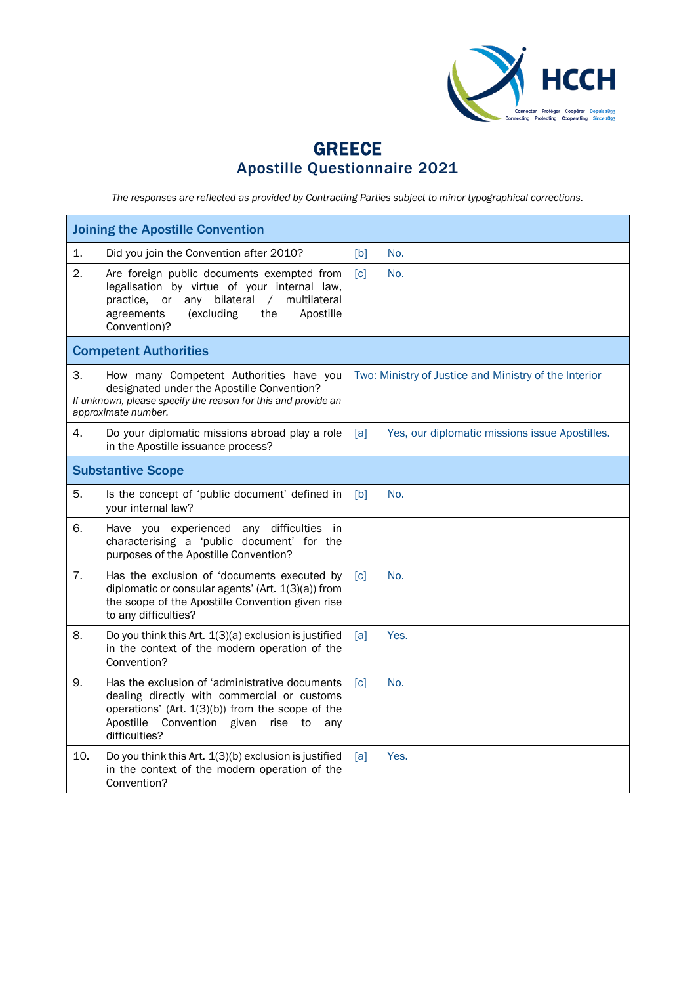

## GREECE Apostille Questionnaire 2021

*The responses are reflected as provided by Contracting Parties subject to minor typographical corrections.*

| <b>Joining the Apostille Convention</b>                                                                                                                                                                                            |                                                       |  |  |  |
|------------------------------------------------------------------------------------------------------------------------------------------------------------------------------------------------------------------------------------|-------------------------------------------------------|--|--|--|
| 1.<br>Did you join the Convention after 2010?                                                                                                                                                                                      | [b]<br>No.                                            |  |  |  |
| 2.<br>Are foreign public documents exempted from<br>legalisation by virtue of your internal law,<br>practice,<br>or<br>any bilateral<br>multilateral<br>$\sqrt{2}$<br>agreements<br>(excluding<br>the<br>Apostille<br>Convention)? | No.<br>[c]                                            |  |  |  |
| <b>Competent Authorities</b>                                                                                                                                                                                                       |                                                       |  |  |  |
| 3.<br>How many Competent Authorities have you<br>designated under the Apostille Convention?<br>If unknown, please specify the reason for this and provide an<br>approximate number.                                                | Two: Ministry of Justice and Ministry of the Interior |  |  |  |
| 4.<br>Do your diplomatic missions abroad play a role<br>in the Apostille issuance process?                                                                                                                                         | Yes, our diplomatic missions issue Apostilles.<br>[a] |  |  |  |
| <b>Substantive Scope</b>                                                                                                                                                                                                           |                                                       |  |  |  |
| 5.<br>Is the concept of 'public document' defined in<br>your internal law?                                                                                                                                                         | [b]<br>No.                                            |  |  |  |
| 6.<br>Have you experienced any difficulties in<br>characterising a 'public document' for the<br>purposes of the Apostille Convention?                                                                                              |                                                       |  |  |  |
| 7.<br>Has the exclusion of 'documents executed by<br>diplomatic or consular agents' (Art. 1(3)(a)) from<br>the scope of the Apostille Convention given rise<br>to any difficulties?                                                | c <br>No.                                             |  |  |  |
| 8.<br>Do you think this Art. 1(3)(a) exclusion is justified<br>in the context of the modern operation of the<br>Convention?                                                                                                        | Yes.<br>[a]                                           |  |  |  |
| 9.<br>Has the exclusion of 'administrative documents<br>dealing directly with commercial or customs<br>operations' (Art. 1(3)(b)) from the scope of the<br>Apostille Convention given<br>rise to<br>anv<br>difficulties?           | No.<br>[c]                                            |  |  |  |
| 10.<br>Do you think this Art. 1(3)(b) exclusion is justified<br>in the context of the modern operation of the<br>Convention?                                                                                                       | Yes.<br>[a]                                           |  |  |  |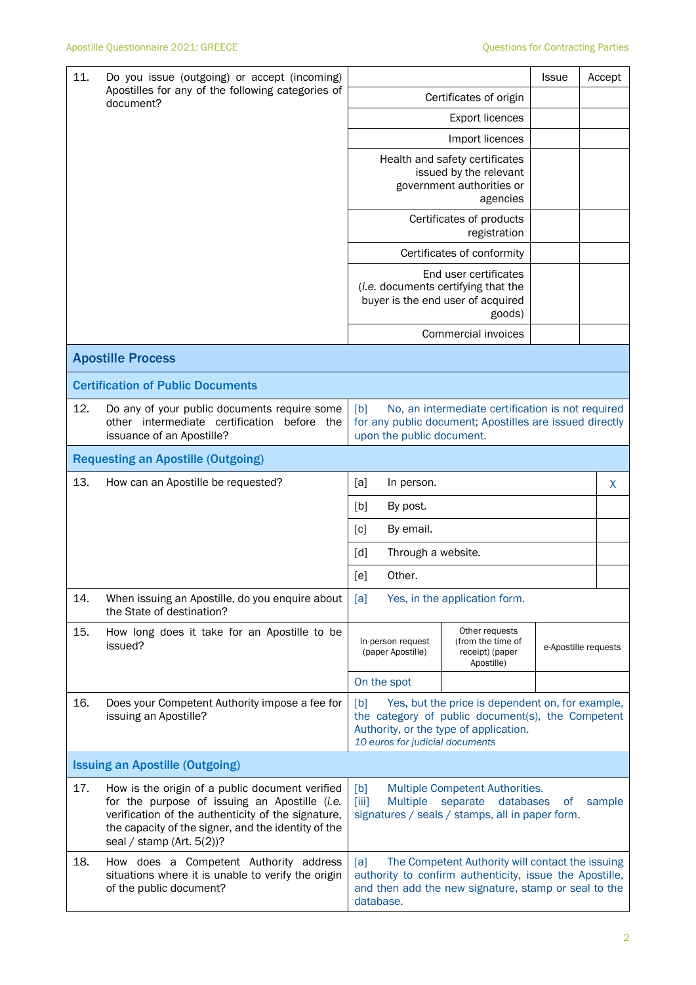| 11. | Do you issue (outgoing) or accept (incoming)<br>Apostilles for any of the following categories of<br>document?                                                                                                                                |                                                                                                                                                                                           |                                                                        |                                                                                                             | <b>Issue</b> |  | Accept |
|-----|-----------------------------------------------------------------------------------------------------------------------------------------------------------------------------------------------------------------------------------------------|-------------------------------------------------------------------------------------------------------------------------------------------------------------------------------------------|------------------------------------------------------------------------|-------------------------------------------------------------------------------------------------------------|--------------|--|--------|
|     |                                                                                                                                                                                                                                               |                                                                                                                                                                                           |                                                                        | Certificates of origin                                                                                      |              |  |        |
|     |                                                                                                                                                                                                                                               | <b>Export licences</b><br>Import licences                                                                                                                                                 |                                                                        |                                                                                                             |              |  |        |
|     |                                                                                                                                                                                                                                               |                                                                                                                                                                                           |                                                                        |                                                                                                             |              |  |        |
|     |                                                                                                                                                                                                                                               |                                                                                                                                                                                           |                                                                        | Health and safety certificates<br>issued by the relevant<br>government authorities or<br>agencies           |              |  |        |
|     |                                                                                                                                                                                                                                               |                                                                                                                                                                                           | Certificates of products<br>registration<br>Certificates of conformity |                                                                                                             |              |  |        |
|     |                                                                                                                                                                                                                                               |                                                                                                                                                                                           |                                                                        |                                                                                                             |              |  |        |
|     |                                                                                                                                                                                                                                               |                                                                                                                                                                                           |                                                                        | End user certificates<br>(i.e. documents certifying that the<br>buyer is the end user of acquired<br>goods) |              |  |        |
|     |                                                                                                                                                                                                                                               | Commercial invoices                                                                                                                                                                       |                                                                        |                                                                                                             |              |  |        |
|     | <b>Apostille Process</b>                                                                                                                                                                                                                      |                                                                                                                                                                                           |                                                                        |                                                                                                             |              |  |        |
|     | <b>Certification of Public Documents</b>                                                                                                                                                                                                      |                                                                                                                                                                                           |                                                                        |                                                                                                             |              |  |        |
| 12. | Do any of your public documents require some<br>other intermediate certification<br>before the<br>issuance of an Apostille?                                                                                                                   | No, an intermediate certification is not required<br>[b]<br>for any public document; Apostilles are issued directly<br>upon the public document.                                          |                                                                        |                                                                                                             |              |  |        |
|     | <b>Requesting an Apostille (Outgoing)</b>                                                                                                                                                                                                     |                                                                                                                                                                                           |                                                                        |                                                                                                             |              |  |        |
| 13. | How can an Apostille be requested?                                                                                                                                                                                                            | [a]                                                                                                                                                                                       | In person.                                                             |                                                                                                             |              |  | X      |
|     |                                                                                                                                                                                                                                               | [b]                                                                                                                                                                                       | By post.                                                               |                                                                                                             |              |  |        |
|     |                                                                                                                                                                                                                                               | [c]<br>By email.                                                                                                                                                                          |                                                                        |                                                                                                             |              |  |        |
|     |                                                                                                                                                                                                                                               | Through a website.<br>[d]                                                                                                                                                                 |                                                                        |                                                                                                             |              |  |        |
|     |                                                                                                                                                                                                                                               | [e]                                                                                                                                                                                       | Other.                                                                 |                                                                                                             |              |  |        |
| 14. | When issuing an Apostille, do you enquire about<br>the State of destination?                                                                                                                                                                  | Yes, in the application form.<br>[a]                                                                                                                                                      |                                                                        |                                                                                                             |              |  |        |
| 15. | How long does it take for an Apostille to be<br>issued?                                                                                                                                                                                       | Other requests<br>In-person request<br>(from the time of<br>(paper Apostille)<br>receipt) (paper<br>Apostille)                                                                            |                                                                        | e-Apostille requests                                                                                        |              |  |        |
|     |                                                                                                                                                                                                                                               | On the spot                                                                                                                                                                               |                                                                        |                                                                                                             |              |  |        |
| 16. | Does your Competent Authority impose a fee for<br>issuing an Apostille?                                                                                                                                                                       | Yes, but the price is dependent on, for example,<br>[b]<br>the category of public document(s), the Competent<br>Authority, or the type of application.<br>10 euros for judicial documents |                                                                        |                                                                                                             |              |  |        |
|     | <b>Issuing an Apostille (Outgoing)</b>                                                                                                                                                                                                        |                                                                                                                                                                                           |                                                                        |                                                                                                             |              |  |        |
| 17. | How is the origin of a public document verified<br>for the purpose of issuing an Apostille (i.e.<br>verification of the authenticity of the signature,<br>the capacity of the signer, and the identity of the<br>seal / stamp (Art. $5(2)$ )? | Multiple Competent Authorities.<br>[b]<br>$\left[\right]$<br><b>Multiple</b><br>separate<br>databases<br>sample<br><sub>of</sub><br>signatures / seals / stamps, all in paper form.       |                                                                        |                                                                                                             |              |  |        |
| 18. | How does a Competent Authority address<br>situations where it is unable to verify the origin<br>of the public document?                                                                                                                       | The Competent Authority will contact the issuing<br>[a]<br>authority to confirm authenticity, issue the Apostille,<br>and then add the new signature, stamp or seal to the<br>database.   |                                                                        |                                                                                                             |              |  |        |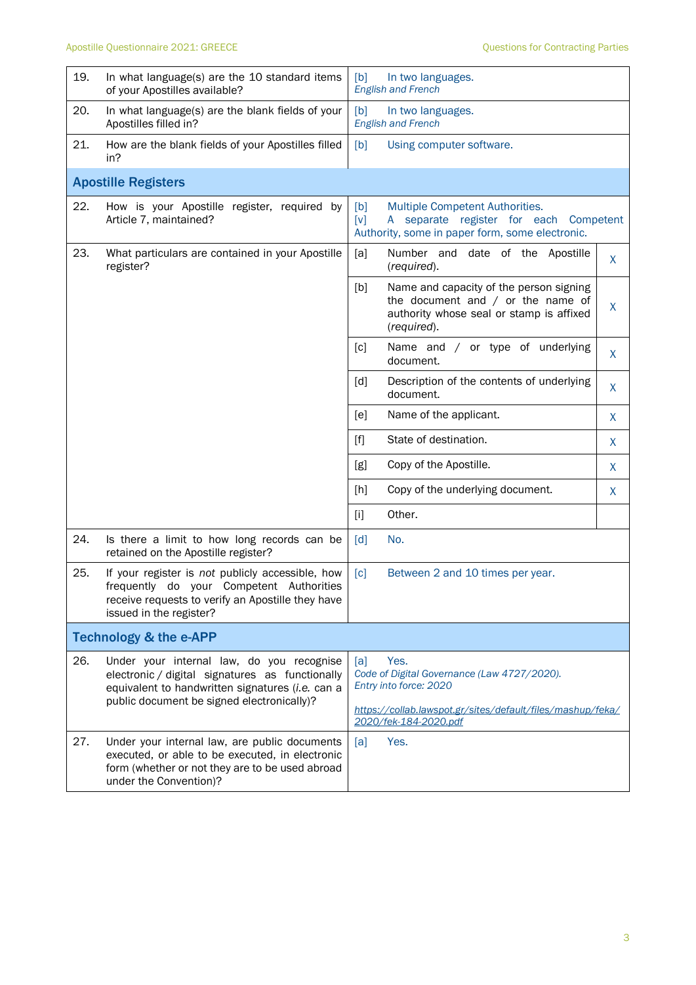| 19.                        | In what language(s) are the 10 standard items<br>of your Apostilles available?                                                                                                                 | [b]<br>In two languages.<br><b>English and French</b>                                                                                                                       |              |  |  |
|----------------------------|------------------------------------------------------------------------------------------------------------------------------------------------------------------------------------------------|-----------------------------------------------------------------------------------------------------------------------------------------------------------------------------|--------------|--|--|
| 20.                        | In what language(s) are the blank fields of your<br>Apostilles filled in?                                                                                                                      | [b]<br>In two languages.<br><b>English and French</b>                                                                                                                       |              |  |  |
| 21.                        | How are the blank fields of your Apostilles filled<br>in?                                                                                                                                      | [b]<br>Using computer software.                                                                                                                                             |              |  |  |
| <b>Apostille Registers</b> |                                                                                                                                                                                                |                                                                                                                                                                             |              |  |  |
| 22.                        | How is your Apostille register, required by<br>Article 7, maintained?                                                                                                                          | Multiple Competent Authorities.<br>[b]<br>separate register for each Competent<br>[v]<br>A<br>Authority, some in paper form, some electronic.                               |              |  |  |
| 23.                        | What particulars are contained in your Apostille<br>register?                                                                                                                                  | [a]<br>Number and date of the Apostille<br>(required).                                                                                                                      | X            |  |  |
|                            |                                                                                                                                                                                                | Name and capacity of the person signing<br>[b]<br>the document and $/$ or the name of<br>authority whose seal or stamp is affixed<br>(required).                            | X            |  |  |
|                            |                                                                                                                                                                                                | [c]<br>Name and / or type of underlying<br>document.                                                                                                                        | $\mathsf{X}$ |  |  |
|                            |                                                                                                                                                                                                | Description of the contents of underlying<br>[d]<br>document.                                                                                                               | X            |  |  |
|                            |                                                                                                                                                                                                | [e]<br>Name of the applicant.                                                                                                                                               | X            |  |  |
|                            |                                                                                                                                                                                                | State of destination.<br>$[f]$                                                                                                                                              | X            |  |  |
|                            |                                                                                                                                                                                                | Copy of the Apostille.<br>[g]                                                                                                                                               | X            |  |  |
|                            |                                                                                                                                                                                                | [h]<br>Copy of the underlying document.                                                                                                                                     | X            |  |  |
|                            |                                                                                                                                                                                                | $[1]$<br>Other.                                                                                                                                                             |              |  |  |
| 24.                        | Is there a limit to how long records can be<br>retained on the Apostille register?                                                                                                             | No.<br>[d]                                                                                                                                                                  |              |  |  |
| 25.                        | If your register is not publicly accessible, how<br>frequently do your Competent Authorities<br>receive requests to verify an Apostille they have<br>issued in the register?                   | [c]<br>Between 2 and 10 times per year.                                                                                                                                     |              |  |  |
|                            | <b>Technology &amp; the e-APP</b>                                                                                                                                                              |                                                                                                                                                                             |              |  |  |
| 26.                        | Under your internal law, do you recognise<br>electronic / digital signatures as functionally<br>equivalent to handwritten signatures (i.e. can a<br>public document be signed electronically)? | Yes.<br>[a]<br>Code of Digital Governance (Law 4727/2020).<br>Entry into force: 2020<br>https://collab.lawspot.gr/sites/default/files/mashup/feka/<br>2020/fek-184-2020.pdf |              |  |  |
| 27.                        | Under your internal law, are public documents<br>executed, or able to be executed, in electronic<br>form (whether or not they are to be used abroad<br>under the Convention)?                  | Yes.<br>[a]                                                                                                                                                                 |              |  |  |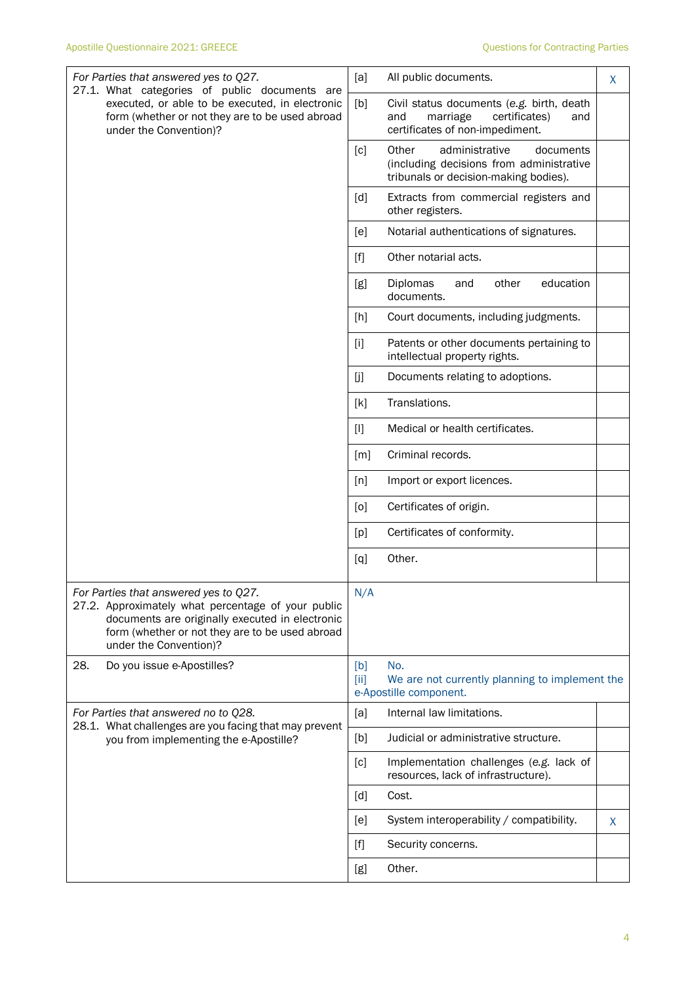| For Parties that answered yes to Q27.<br>27.1. What categories of public documents are                                                                                                                                      | [a]<br>All public documents.<br>X                                                                                                |
|-----------------------------------------------------------------------------------------------------------------------------------------------------------------------------------------------------------------------------|----------------------------------------------------------------------------------------------------------------------------------|
| executed, or able to be executed, in electronic<br>form (whether or not they are to be used abroad<br>under the Convention)?                                                                                                | [b]<br>Civil status documents (e.g. birth, death<br>marriage<br>certificates)<br>and<br>and<br>certificates of non-impediment.   |
|                                                                                                                                                                                                                             | Other<br>administrative<br>[c]<br>documents<br>(including decisions from administrative<br>tribunals or decision-making bodies). |
|                                                                                                                                                                                                                             | [d]<br>Extracts from commercial registers and<br>other registers.                                                                |
|                                                                                                                                                                                                                             | [e]<br>Notarial authentications of signatures.                                                                                   |
|                                                                                                                                                                                                                             | Other notarial acts.<br>[f]                                                                                                      |
|                                                                                                                                                                                                                             | education<br>Diplomas<br>[g]<br>other<br>and<br>documents.                                                                       |
|                                                                                                                                                                                                                             | [h]<br>Court documents, including judgments.                                                                                     |
|                                                                                                                                                                                                                             | $[1]$<br>Patents or other documents pertaining to<br>intellectual property rights.                                               |
|                                                                                                                                                                                                                             | [j]<br>Documents relating to adoptions.                                                                                          |
|                                                                                                                                                                                                                             | Translations.<br>$[{\sf k}]$                                                                                                     |
|                                                                                                                                                                                                                             | $[1]$<br>Medical or health certificates.                                                                                         |
|                                                                                                                                                                                                                             | Criminal records.<br>$\lceil m \rceil$                                                                                           |
|                                                                                                                                                                                                                             | [n]<br>Import or export licences.                                                                                                |
|                                                                                                                                                                                                                             | Certificates of origin.<br>[0]                                                                                                   |
|                                                                                                                                                                                                                             | Certificates of conformity.<br>[p]                                                                                               |
|                                                                                                                                                                                                                             | Other.<br>[q]                                                                                                                    |
| For Parties that answered yes to Q27.<br>27.2. Approximately what percentage of your public<br>documents are originally executed in electronic<br>form (whether or not they are to be used abroad<br>under the Convention)? | N/A                                                                                                                              |
| 28.<br>Do you issue e-Apostilles?                                                                                                                                                                                           | No.<br>[b]<br>We are not currently planning to implement the<br>[ii]<br>e-Apostille component.                                   |
| For Parties that answered no to Q28.<br>28.1. What challenges are you facing that may prevent                                                                                                                               | Internal law limitations.<br>[a]                                                                                                 |
| you from implementing the e-Apostille?                                                                                                                                                                                      | Judicial or administrative structure.<br>[b]                                                                                     |
|                                                                                                                                                                                                                             | Implementation challenges (e.g. lack of<br>[c]<br>resources, lack of infrastructure).                                            |
|                                                                                                                                                                                                                             | [d]<br>Cost.                                                                                                                     |
|                                                                                                                                                                                                                             | System interoperability / compatibility.<br>[e]<br>X                                                                             |
|                                                                                                                                                                                                                             | $[f]$<br>Security concerns.                                                                                                      |
|                                                                                                                                                                                                                             | Other.<br>[g]                                                                                                                    |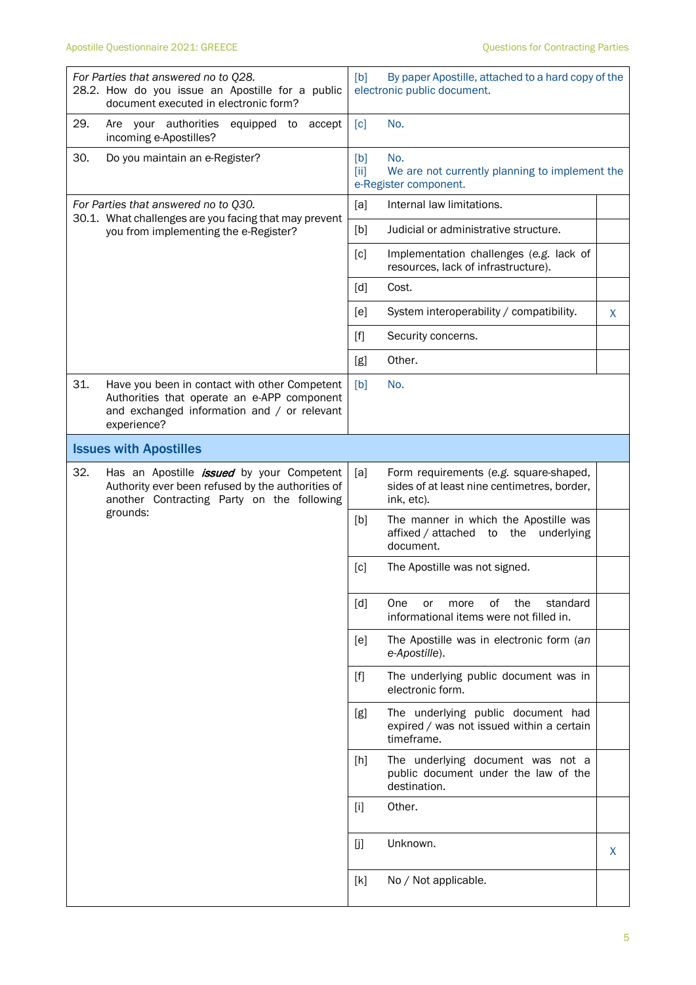| For Parties that answered no to Q28.<br>28.2. How do you issue an Apostille for a public<br>document executed in electronic form?                                 | [b]<br>By paper Apostille, attached to a hard copy of the<br>electronic public document.                   |  |  |
|-------------------------------------------------------------------------------------------------------------------------------------------------------------------|------------------------------------------------------------------------------------------------------------|--|--|
| 29.<br>Are your authorities<br>equipped to<br>accept<br>incoming e-Apostilles?                                                                                    | No.<br>$\lceil c \rceil$                                                                                   |  |  |
| 30.<br>Do you maintain an e-Register?                                                                                                                             | No.<br>[b]<br>[iii]<br>We are not currently planning to implement the<br>e-Register component.             |  |  |
| For Parties that answered no to Q30.                                                                                                                              | Internal law limitations.<br>[a]                                                                           |  |  |
| 30.1. What challenges are you facing that may prevent<br>you from implementing the e-Register?                                                                    | Judicial or administrative structure.<br>[b]                                                               |  |  |
|                                                                                                                                                                   | [c]<br>Implementation challenges (e.g. lack of<br>resources, lack of infrastructure).                      |  |  |
|                                                                                                                                                                   | $\lceil d \rceil$<br>Cost.                                                                                 |  |  |
|                                                                                                                                                                   | System interoperability / compatibility.<br>[e]<br>X                                                       |  |  |
|                                                                                                                                                                   | $[f]$<br>Security concerns.                                                                                |  |  |
|                                                                                                                                                                   | Other.<br>[g]                                                                                              |  |  |
| 31.<br>Have you been in contact with other Competent<br>Authorities that operate an e-APP component<br>and exchanged information and / or relevant<br>experience? | [b]<br>No.                                                                                                 |  |  |
| <b>Issues with Apostilles</b>                                                                                                                                     |                                                                                                            |  |  |
| 32.<br>Has an Apostille <i>issued</i> by your Competent<br>Authority ever been refused by the authorities of<br>another Contracting Party on the following        | [a]<br>Form requirements (e.g. square-shaped,<br>sides of at least nine centimetres, border,<br>ink, etc). |  |  |
| grounds:                                                                                                                                                          | The manner in which the Apostille was<br>[b]<br>affixed / attached to the underlying<br>document.          |  |  |
|                                                                                                                                                                   | [c]<br>The Apostille was not signed.                                                                       |  |  |
|                                                                                                                                                                   | $\lceil d \rceil$<br>One<br>0f<br>the<br>standard<br>more<br>or<br>informational items were not filled in. |  |  |
|                                                                                                                                                                   | The Apostille was in electronic form (an<br>[e]<br>e-Apostille).                                           |  |  |
|                                                                                                                                                                   | The underlying public document was in<br>$[f]$<br>electronic form.                                         |  |  |
|                                                                                                                                                                   | The underlying public document had<br>[g]<br>expired / was not issued within a certain<br>timeframe.       |  |  |
|                                                                                                                                                                   | The underlying document was not a<br>[h]<br>public document under the law of the<br>destination.           |  |  |
|                                                                                                                                                                   | Other.<br>$[1]$                                                                                            |  |  |
|                                                                                                                                                                   | [j]<br>Unknown.<br>X                                                                                       |  |  |
|                                                                                                                                                                   | [k]<br>No / Not applicable.                                                                                |  |  |